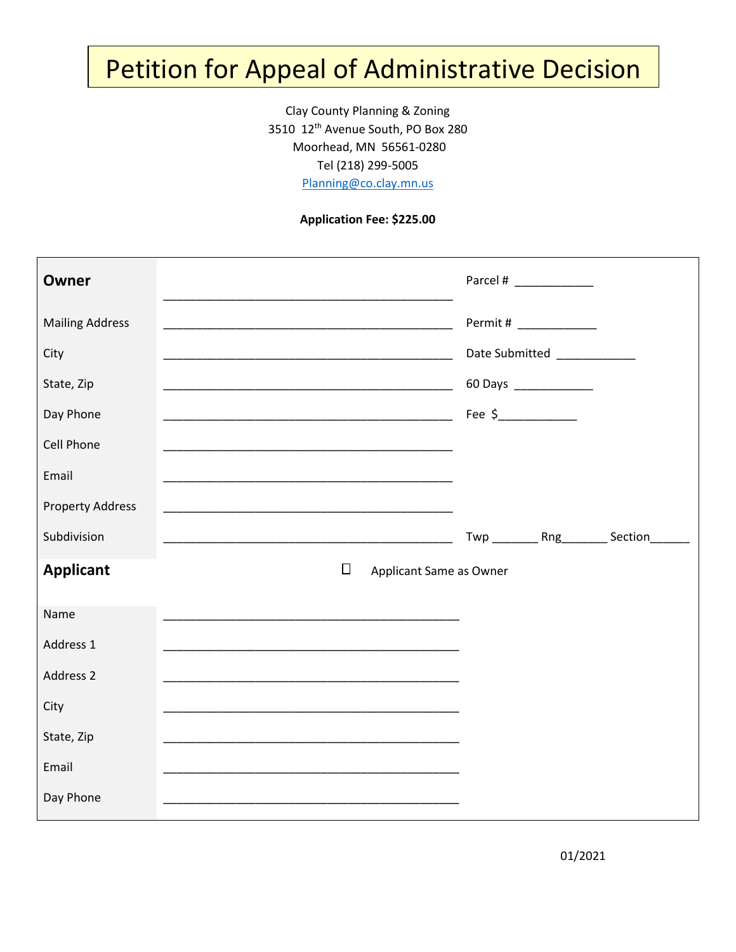## Petition for Appeal of Administrative Decision

Clay County Planning & Zoning 3510 12th Avenue South, PO Box 280 Moorhead, MN 56561-0280 Tel (218) 299-5005 [Planning@co.clay.mn.us](mailto:Planning@co.clay.mn.us)

## **Application Fee: \$225.00**

| <b>Owner</b>            |                                                                                                                       |                                              |  |
|-------------------------|-----------------------------------------------------------------------------------------------------------------------|----------------------------------------------|--|
| <b>Mailing Address</b>  |                                                                                                                       | Permit # ______________                      |  |
| City                    | <u> 1989 - Johann John Stone, mars et al. (</u>                                                                       | Date Submitted ____________                  |  |
| State, Zip              |                                                                                                                       | 60 Days _______________                      |  |
| Day Phone               |                                                                                                                       | Fee $\frac{2}{1}$                            |  |
| Cell Phone              |                                                                                                                       |                                              |  |
| Email                   | <u> 1989 - Johann John Stoff, deutscher Stoffen und der Stoffen und der Stoffen und der Stoffen und der Stoffen u</u> |                                              |  |
| <b>Property Address</b> |                                                                                                                       |                                              |  |
| Subdivision             | <u> 1990 - Johann John Stone, markin film yn y brening yn y brening yn y brening yn y brening yn y brening yn y b</u> | Twp __________ Rng__________ Section________ |  |
| <b>Applicant</b>        | $\Box$                                                                                                                | Applicant Same as Owner                      |  |
| Name                    |                                                                                                                       |                                              |  |
| Address 1               |                                                                                                                       |                                              |  |
| Address 2               |                                                                                                                       |                                              |  |
| City                    |                                                                                                                       |                                              |  |
| State, Zip              |                                                                                                                       |                                              |  |
| Email                   | <u> 1989 - Johann John Stoff, deutscher Stoffen und der Stoffen und der Stoffen und der Stoffen und der Stoffen u</u> |                                              |  |
| Day Phone               | <u> 1989 - Johann Stoff, deutscher Stoff, der Stoff, der Stoff, der Stoff, der Stoff, der Stoff, der Stoff, der S</u> |                                              |  |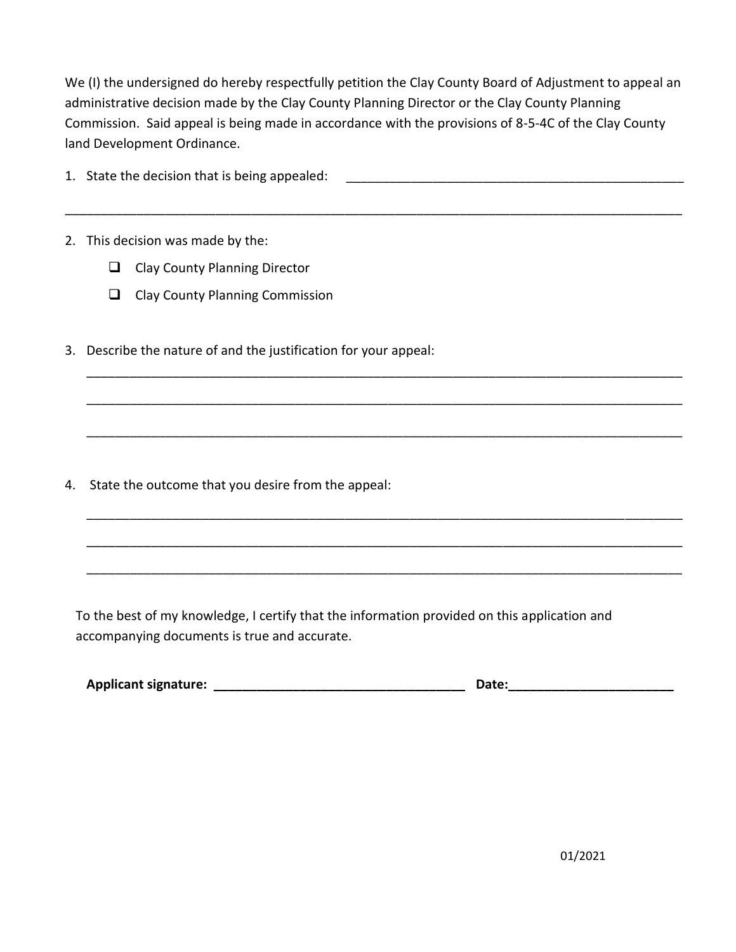We (I) the undersigned do hereby respectfully petition the Clay County Board of Adjustment to appeal an administrative decision made by the Clay County Planning Director or the Clay County Planning Commission. Said appeal is being made in accordance with the provisions of 8-5-4C of the Clay County land Development Ordinance.

\_\_\_\_\_\_\_\_\_\_\_\_\_\_\_\_\_\_\_\_\_\_\_\_\_\_\_\_\_\_\_\_\_\_\_\_\_\_\_\_\_\_\_\_\_\_\_\_\_\_\_\_\_\_\_\_\_\_\_\_\_\_\_\_\_\_\_\_\_\_\_\_\_\_\_\_\_\_\_\_\_\_\_\_\_\_

\_\_\_\_\_\_\_\_\_\_\_\_\_\_\_\_\_\_\_\_\_\_\_\_\_\_\_\_\_\_\_\_\_\_\_\_\_\_\_\_\_\_\_\_\_\_\_\_\_\_\_\_\_\_\_\_\_\_\_\_\_\_\_\_\_\_\_\_\_\_\_\_\_\_\_\_\_\_\_\_\_\_\_

\_\_\_\_\_\_\_\_\_\_\_\_\_\_\_\_\_\_\_\_\_\_\_\_\_\_\_\_\_\_\_\_\_\_\_\_\_\_\_\_\_\_\_\_\_\_\_\_\_\_\_\_\_\_\_\_\_\_\_\_\_\_\_\_\_\_\_\_\_\_\_\_\_\_\_\_\_\_\_\_\_\_\_

\_\_\_\_\_\_\_\_\_\_\_\_\_\_\_\_\_\_\_\_\_\_\_\_\_\_\_\_\_\_\_\_\_\_\_\_\_\_\_\_\_\_\_\_\_\_\_\_\_\_\_\_\_\_\_\_\_\_\_\_\_\_\_\_\_\_\_\_\_\_\_\_\_\_\_\_\_\_\_\_\_\_\_

\_\_\_\_\_\_\_\_\_\_\_\_\_\_\_\_\_\_\_\_\_\_\_\_\_\_\_\_\_\_\_\_\_\_\_\_\_\_\_\_\_\_\_\_\_\_\_\_\_\_\_\_\_\_\_\_\_\_\_\_\_\_\_\_\_\_\_\_\_\_\_\_\_\_\_\_\_\_\_\_\_\_\_

\_\_\_\_\_\_\_\_\_\_\_\_\_\_\_\_\_\_\_\_\_\_\_\_\_\_\_\_\_\_\_\_\_\_\_\_\_\_\_\_\_\_\_\_\_\_\_\_\_\_\_\_\_\_\_\_\_\_\_\_\_\_\_\_\_\_\_\_\_\_\_\_\_\_\_\_\_\_\_\_\_\_\_

\_\_\_\_\_\_\_\_\_\_\_\_\_\_\_\_\_\_\_\_\_\_\_\_\_\_\_\_\_\_\_\_\_\_\_\_\_\_\_\_\_\_\_\_\_\_\_\_\_\_\_\_\_\_\_\_\_\_\_\_\_\_\_\_\_\_\_\_\_\_\_\_\_\_\_\_\_\_\_\_\_\_\_

- 1. State the decision that is being appealed:
- 2. This decision was made by the:
	- ❑ Clay County Planning Director
	- ❑ Clay County Planning Commission
- 3. Describe the nature of and the justification for your appeal:

4. State the outcome that you desire from the appeal:

To the best of my knowledge, I certify that the information provided on this application and accompanying documents is true and accurate.